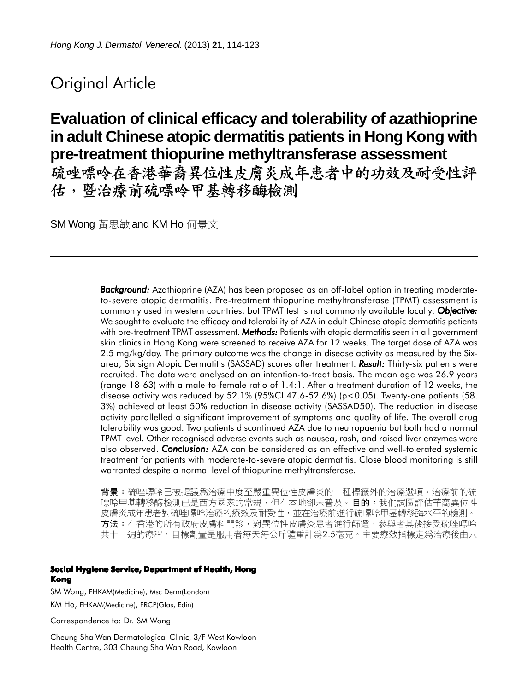# Original Article

# **Evaluation of clinical efficacy and tolerability of azathioprine in adult Chinese atopic dermatitis patients in Hong Kong with pre-treatment thiopurine methyltransferase assessment**

硫唑嘌呤在香港華裔異位性皮膚炎成年患者中的功效及耐受性評 估,暨治療前硫嘌呤甲基轉移酶檢測

SM Wong 黃思敏 and KM Ho 何景文

*Background: Background:* Azathioprine (AZA) has been proposed as an off-label option in treating moderateto-severe atopic dermatitis. Pre-treatment thiopurine methyltransferase (TPMT) assessment is commonly used in western countries, but TPMT test is not commonly available locally. *Objective: Objective:* We sought to evaluate the efficacy and tolerability of AZA in adult Chinese atopic dermatitis patients with pre-treatment TPMT assessment. **Methods:** Patients with atopic dermatitis seen in all government skin clinics in Hong Kong were screened to receive AZA for 12 weeks. The target dose of AZA was 2.5 mg/kg/day. The primary outcome was the change in disease activity as measured by the Sixarea, Six sign Atopic Dermatitis (SASSAD) scores after treatment. *Result:* Thirty-six patients were recruited. The data were analysed on an intention-to-treat basis. The mean age was 26.9 years (range 18-63) with a male-to-female ratio of 1.4:1. After a treatment duration of 12 weeks, the disease activity was reduced by  $52.1\%$  (95%CI 47.6-52.6%) (p<0.05). Twenty-one patients (58. 3%) achieved at least 50% reduction in disease activity (SASSAD50). The reduction in disease activity parallelled a significant improvement of symptoms and quality of life. The overall drug tolerability was good. Two patients discontinued AZA due to neutropaenia but both had a normal TPMT level. Other recognised adverse events such as nausea, rash, and raised liver enzymes were also observed. *Conclusion: Conclusion:* AZA can be considered as an effective and well-tolerated systemic treatment for patients with moderate-to-severe atopic dermatitis. Close blood monitoring is still warranted despite a normal level of thiopurine methyltransferase.

背景:硫唑嘌呤已被提議爲治療中度至嚴重異位性皮膚炎的一種標籤外的治療選項。治療前的硫 嘌呤甲基轉移酶檢測已是西方國家的常規,但在本地卻未普及。**目的**:我們試圖評估華裔異位性 皮膚炎成年患者對硫唑嘌呤治療的療效及耐受性,並在治療前進行硫嘌呤甲基轉移酶水平的檢測。 方法:在香港的所有政府皮膚科門診,對異位性皮膚炎患者進行篩選,參與者其後接受硫唑嘌呤 共十二週的療程,目標劑量是服用者每天每公斤體重計爲2.5毫克。主要療效指標定爲治療後由六

#### **Social Hygiene Service, Department of Health, Hong Kong**

SM Wong, FHKAM(Medicine), Msc Derm(London) KM Ho, FHKAM(Medicine), FRCP(Glas, Edin)

Correspondence to: Dr. SM Wong

Cheung Sha Wan Dermatological Clinic, 3/F West Kowloon Health Centre, 303 Cheung Sha Wan Road, Kowloon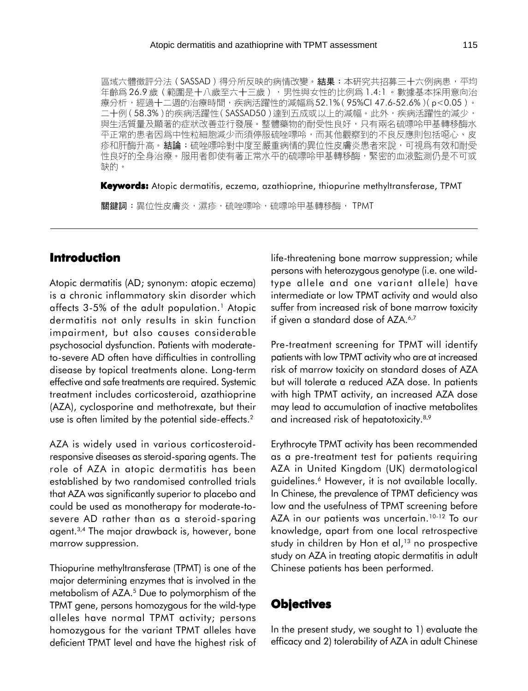區域六體徵評分法 (SASSAD) 得分所反映的病情改變。結果:本研究共招募三十六例病患,平均 年齡爲26.9歲(範圍是十八歲至六十三歲),男性與女性的比例爲1.4:1。數據基本採用意向治 療分析,經過十二週的治療時間,疾病活躍性的減幅爲52.1%(95%CI 47.6-52.6% )( p<0.05 )。 二十例(58.3%)的疾病活躍性(SASSAD50)達到五成或以上的減幅。此外,疾病活躍性的減少, 與生活質量及顯著的症狀改善並行發展。整體藥物的耐受性良好,只有兩名硫嘌呤甲基轉移酶水 平正常的患者因爲中性粒細胞減少而須停服硫唑嘌呤,而其他觀察到的不良反應則包括噁心、皮 疹和肝酶升高。**結論:**硫唑嘌呤對中度至嚴重病情的異位性皮膚炎患者來說,可視爲有效和耐受 性良好的全身治療。服用者卽使有著正常水平的硫嘌呤甲基轉移酶,緊密的血液監測仍是不可或 缺的。

**Keywords:** Atopic dermatitis, eczema, azathioprine, thiopurine methyltransferase, TPMT

關鍵詞:異位性皮膚炎,濕疹,硫唑嘌呤,硫嘌呤甲基轉移酶,TPMT

# **Introduction**

Atopic dermatitis (AD; synonym: atopic eczema) is a chronic inflammatory skin disorder which affects 3-5% of the adult population.<sup>1</sup> Atopic dermatitis not only results in skin function impairment, but also causes considerable psychosocial dysfunction. Patients with moderateto-severe AD often have difficulties in controlling disease by topical treatments alone. Long-term effective and safe treatments are required. Systemic treatment includes corticosteroid, azathioprine (AZA), cyclosporine and methotrexate, but their use is often limited by the potential side-effects.<sup>2</sup>

AZA is widely used in various corticosteroidresponsive diseases as steroid-sparing agents. The role of AZA in atopic dermatitis has been established by two randomised controlled trials that AZA was significantly superior to placebo and could be used as monotherapy for moderate-tosevere AD rather than as a steroid-sparing agent.3,4 The major drawback is, however, bone marrow suppression.

Thiopurine methyltransferase (TPMT) is one of the major determining enzymes that is involved in the metabolism of AZA.<sup>5</sup> Due to polymorphism of the TPMT gene, persons homozygous for the wild-type alleles have normal TPMT activity; persons homozygous for the variant TPMT alleles have deficient TPMT level and have the highest risk of life-threatening bone marrow suppression; while persons with heterozygous genotype (i.e. one wildtype allele and one variant allele) have intermediate or low TPMT activity and would also suffer from increased risk of bone marrow toxicity if given a standard dose of AZA.<sup>6,7</sup>

Pre-treatment screening for TPMT will identify patients with low TPMT activity who are at increased risk of marrow toxicity on standard doses of AZA but will tolerate a reduced AZA dose. In patients with high TPMT activity, an increased AZA dose may lead to accumulation of inactive metabolites and increased risk of hepatotoxicity.<sup>8,9</sup>

Erythrocyte TPMT activity has been recommended as a pre-treatment test for patients requiring AZA in United Kingdom (UK) dermatological guidelines.<sup>6</sup> However, it is not available locally. In Chinese, the prevalence of TPMT deficiency was low and the usefulness of TPMT screening before AZA in our patients was uncertain.<sup>10-12</sup> To our knowledge, apart from one local retrospective study in children by Hon et al, $13$  no prospective study on AZA in treating atopic dermatitis in adult Chinese patients has been performed.

## **Objectives**

In the present study, we sought to 1) evaluate the efficacy and 2) tolerability of AZA in adult Chinese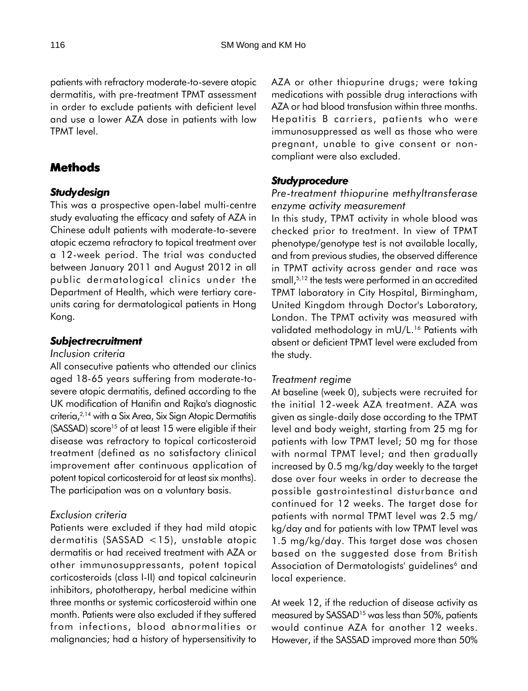patients with refractory moderate-to-severe atopic dermatitis, with pre-treatment TPMT assessment in order to exclude patients with deficient level and use a lower AZA dose in patients with low TPMT level.

# **Methods**

## *Study design*

This was a prospective open-label multi-centre study evaluating the efficacy and safety of AZA in Chinese adult patients with moderate-to-severe atopic eczema refractory to topical treatment over a 12-week period. The trial was conducted between January 2011 and August 2012 in all public dermatological clinics under the Department of Health, which were tertiary careunits caring for dermatological patients in Hong Kong.

## *Subject recruitment*

### *Inclusion criteria*

All consecutive patients who attended our clinics aged 18-65 years suffering from moderate-tosevere atopic dermatitis, defined according to the UK modification of Hanifin and Rajka's diagnostic criteria,2,14 with a Six Area, Six Sign Atopic Dermatitis (SASSAD) score<sup>15</sup> of at least 15 were eligible if their disease was refractory to topical corticosteroid treatment (defined as no satisfactory clinical improvement after continuous application of potent topical corticosteroid for at least six months). The participation was on a voluntary basis.

## *Exclusion criteria*

Patients were excluded if they had mild atopic dermatitis (SASSAD <15), unstable atopic dermatitis or had received treatment with AZA or other immunosuppressants, potent topical corticosteroids (class I-II) and topical calcineurin inhibitors, phototherapy, herbal medicine within three months or systemic corticosteroid within one month. Patients were also excluded if they suffered from infections, blood abnormalities or malignancies; had a history of hypersensitivity to

AZA or other thiopurine drugs; were taking medications with possible drug interactions with AZA or had blood transfusion within three months. Hepatitis B carriers, patients who were immunosuppressed as well as those who were pregnant, unable to give consent or noncompliant were also excluded.

# *Study procedure*

## *Pre-treatment thiopurine methyltransferase enzyme activity measurement*

In this study, TPMT activity in whole blood was checked prior to treatment. In view of TPMT phenotype/genotype test is not available locally, and from previous studies, the observed difference in TPMT activity across gender and race was small,<sup>5,12</sup> the tests were performed in an accredited TPMT laboratory in City Hospital, Birmingham, United Kingdom through Doctor's Laboratory, London. The TPMT activity was measured with validated methodology in mU/L.<sup>16</sup> Patients with absent or deficient TPMT level were excluded from the study.

## *Treatment regime*

At baseline (week 0), subjects were recruited for the initial 12-week AZA treatment. AZA was given as single-daily dose according to the TPMT level and body weight, starting from 25 mg for patients with low TPMT level; 50 mg for those with normal TPMT level; and then gradually increased by 0.5 mg/kg/day weekly to the target dose over four weeks in order to decrease the possible gastrointestinal disturbance and continued for 12 weeks. The target dose for patients with normal TPMT level was 2.5 mg/ kg/day and for patients with low TPMT level was 1.5 mg/kg/day. This target dose was chosen based on the suggested dose from British Association of Dermatologists' guidelines<sup>6</sup> and local experience.

At week 12, if the reduction of disease activity as measured by SASSAD<sup>15</sup> was less than 50%, patients would continue AZA for another 12 weeks. However, if the SASSAD improved more than 50%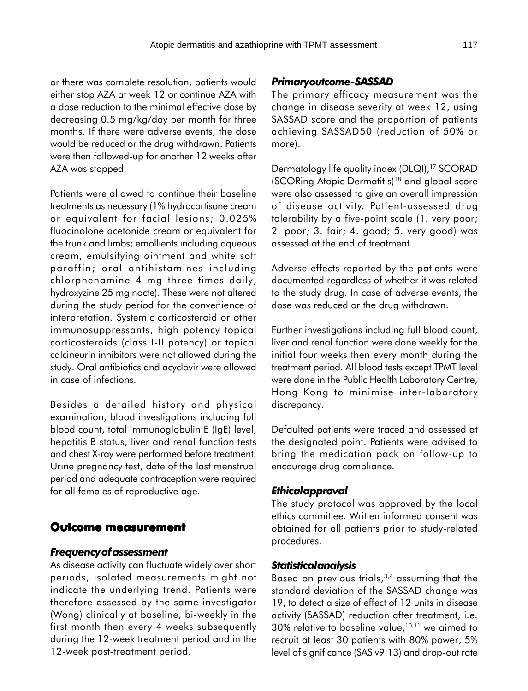or there was complete resolution, patients would either stop AZA at week 12 or continue AZA with a dose reduction to the minimal effective dose by decreasing 0.5 mg/kg/day per month for three months. If there were adverse events, the dose would be reduced or the drug withdrawn. Patients were then followed-up for another 12 weeks after AZA was stopped.

Patients were allowed to continue their baseline treatments as necessary (1% hydrocortisone cream or equivalent for facial lesions; 0.025% fluocinolone acetonide cream or equivalent for the trunk and limbs; emollients including aqueous cream, emulsifying ointment and white soft paraffin; oral antihistamines including chlorphenamine 4 mg three times daily, hydroxyzine 25 mg nocte). These were not altered during the study period for the convenience of interpretation. Systemic corticosteroid or other immunosuppressants, high potency topical corticosteroids (class I-II potency) or topical calcineurin inhibitors were not allowed during the study. Oral antibiotics and acyclovir were allowed in case of infections.

Besides a detailed history and physical examination, blood investigations including full blood count, total immunoglobulin E (IgE) level, hepatitis B status, liver and renal function tests and chest X-ray were performed before treatment. Urine pregnancy test, date of the last menstrual period and adequate contraception were required for all females of reproductive age.

#### **Outcome measurement Outcome**

#### *Frequency of assessment*

As disease activity can fluctuate widely over short periods, isolated measurements might not indicate the underlying trend. Patients were therefore assessed by the same investigator (Wong) clinically at baseline, bi-weekly in the first month then every 4 weeks subsequently during the 12-week treatment period and in the 12-week post-treatment period.

#### *Primary outcome-SASSAD*

The primary efficacy measurement was the change in disease severity at week 12, using SASSAD score and the proportion of patients achieving SASSAD50 (reduction of 50% or more).

Dermatology life quality index (DLQI),<sup>17</sup> SCORAD (SCORing Atopic Dermatitis)18 and global score were also assessed to give an overall impression of disease activity. Patient-assessed drug tolerability by a five-point scale (1. very poor; 2. poor; 3. fair; 4. good; 5. very good) was assessed at the end of treatment.

Adverse effects reported by the patients were documented regardless of whether it was related to the study drug. In case of adverse events, the dose was reduced or the drug withdrawn.

Further investigations including full blood count, liver and renal function were done weekly for the initial four weeks then every month during the treatment period. All blood tests except TPMT level were done in the Public Health Laboratory Centre, Hong Kong to minimise inter-laboratory discrepancy.

Defaulted patients were traced and assessed at the designated point. Patients were advised to bring the medication pack on follow-up to encourage drug compliance.

#### *Ethical approval*

The study protocol was approved by the local ethics committee. Written informed consent was obtained for all patients prior to study-related procedures.

#### *Statistical analysis*

Based on previous trials,  $3,4$  assuming that the standard deviation of the SASSAD change was 19, to detect a size of effect of 12 units in disease activity (SASSAD) reduction after treatment, i.e.  $30\%$  relative to baseline value,<sup>10,11</sup> we aimed to recruit at least 30 patients with 80% power, 5% level of significance (SAS v9.13) and drop-out rate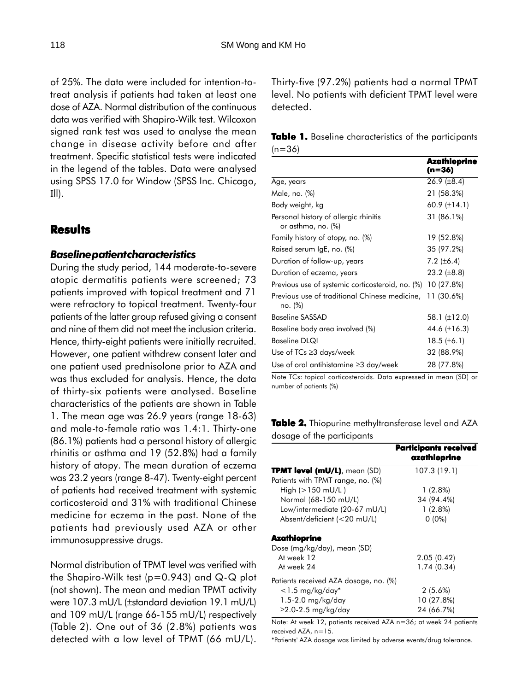of 25%. The data were included for intention-totreat analysis if patients had taken at least one dose of AZA. Normal distribution of the continuous data was verified with Shapiro-Wilk test. Wilcoxon signed rank test was used to analyse the mean change in disease activity before and after treatment. Specific statistical tests were indicated in the legend of the tables. Data were analysed using SPSS 17.0 for Window (SPSS Inc. Chicago, Ill).

### **Results**

#### *Baseline patient characteristics*

During the study period, 144 moderate-to-severe atopic dermatitis patients were screened; 73 patients improved with topical treatment and 71 were refractory to topical treatment. Twenty-four patients of the latter group refused giving a consent and nine of them did not meet the inclusion criteria. Hence, thirty-eight patients were initially recruited. However, one patient withdrew consent later and one patient used prednisolone prior to AZA and was thus excluded for analysis. Hence, the data of thirty-six patients were analysed. Baseline characteristics of the patients are shown in Table 1. The mean age was 26.9 years (range 18-63) and male-to-female ratio was 1.4:1. Thirty-one (86.1%) patients had a personal history of allergic rhinitis or asthma and 19 (52.8%) had a family history of atopy. The mean duration of eczema was 23.2 years (range 8-47). Twenty-eight percent of patients had received treatment with systemic corticosteroid and 31% with traditional Chinese medicine for eczema in the past. None of the patients had previously used AZA or other immunosuppressive drugs.

Normal distribution of TPMT level was verified with the Shapiro-Wilk test (p=0.943) and Q-Q plot (not shown). The mean and median TPMT activity were 107.3 mU/L (±standard deviation 19.1 mU/L) and 109 mU/L (range 66-155 mU/L) respectively (Table 2). One out of 36 (2.8%) patients was detected with a low level of TPMT (66 mU/L). Thirty-five (97.2%) patients had a normal TPMT level. No patients with deficient TPMT level were detected.

**Table 1.** Baseline characteristics of the participants  $(n=36)$ 

|                                                             | Azathioprine<br>(n=36) |
|-------------------------------------------------------------|------------------------|
| Age, years                                                  | 26.9 $(\pm 8.4)$       |
| Male, no. (%)                                               | 21 (58.3%)             |
| Body weight, kg                                             | 60.9 $(\pm 14.1)$      |
| Personal history of allergic rhinitis<br>or asthma, no. (%) | 31 (86.1%)             |
| Family history of atopy, no. (%)                            | 19 (52.8%)             |
| Raised serum IgE, no. (%)                                   | 35 (97.2%)             |
| Duration of follow-up, years                                | 7.2 $(\pm 6.4)$        |
| Duration of eczema, years                                   | 23.2 $(\pm 8.8)$       |
| Previous use of systemic corticosteroid, no. (%) 10 (27.8%) |                        |
| Previous use of traditional Chinese medicine,<br>no. (%)    | 11 (30.6%)             |
| <b>Baseline SASSAD</b>                                      | 58.1 (±12.0)           |
| Baseline body area involved (%)                             | 44.6 $(\pm 16.3)$      |
| <b>Baseline DLQI</b>                                        | 18.5 $(\pm 6.1)$       |
| Use of $TCs \geq 3$ days/week                               | 32 (88.9%)             |
| Use of oral antihistamine $\geq$ 3 day/week                 | 28 (77.8%)             |

Note TCs: topical corticosteroids. Data expressed in mean (SD) or number of patients (%)

**Table 2.** Thiopurine methyltransferase level and AZA dosage of the participants

|                                       | <b>Participants received</b><br>azathioprine |
|---------------------------------------|----------------------------------------------|
| <b>TPMT level (mU/L)</b> , mean (SD)  | 107.3 (19.1)                                 |
| Patients with TPMT range, no. (%)     |                                              |
| High (>150 mU/L)                      | $1(2.8\%)$                                   |
| Normal (68-150 mU/L)                  | 34 (94.4%)                                   |
| Low/intermediate (20-67 mU/L)         | $1(2.8\%)$                                   |
| Absent/deficient (<20 mU/L)           | $0(0\%)$                                     |
| Azathioprine                          |                                              |
| Dose (mg/kg/day), mean (SD)           |                                              |
| At week 12                            | 2.05(0.42)                                   |
| At week 24                            | 1.74(0.34)                                   |
| Patients received AZA dosage, no. (%) |                                              |
| $<$ 1.5 mg/kg/day*                    | $2(5.6\%)$                                   |
| $1.5-2.0$ mg/kg/day                   | 10 (27.8%)                                   |
| $\geq$ 2.0-2.5 mg/kg/day              | 24 (66.7%)                                   |

Note: At week 12, patients received AZA n=36; at week 24 patients received AZA, n=15.

\*Patients' AZA dosage was limited by adverse events/drug tolerance.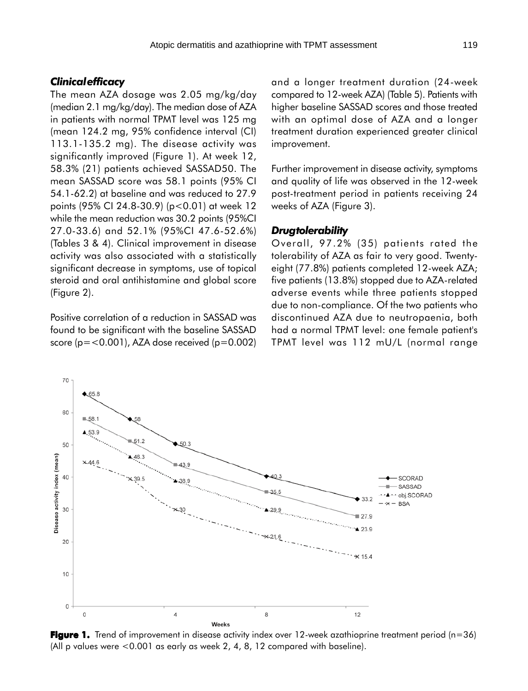#### *Clinical efficacy*

70

 $65.8$ 

The mean AZA dosage was 2.05 mg/kg/day (median 2.1 mg/kg/day). The median dose of AZA in patients with normal TPMT level was 125 mg (mean 124.2 mg, 95% confidence interval (CI) 113.1-135.2 mg). The disease activity was significantly improved (Figure 1). At week 12, 58.3% (21) patients achieved SASSAD50. The mean SASSAD score was 58.1 points (95% CI 54.1-62.2) at baseline and was reduced to 27.9 points (95% CI 24.8-30.9) (p<0.01) at week 12 while the mean reduction was 30.2 points (95%CI 27.0-33.6) and 52.1% (95%CI 47.6-52.6%) (Tables 3 & 4). Clinical improvement in disease activity was also associated with a statistically significant decrease in symptoms, use of topical steroid and oral antihistamine and global score (Figure 2).

Positive correlation of a reduction in SASSAD was found to be significant with the baseline SASSAD score ( $p = 0.001$ ), AZA dose received ( $p = 0.002$ ) and a longer treatment duration (24-week compared to 12-week AZA) (Table 5). Patients with higher baseline SASSAD scores and those treated with an optimal dose of AZA and a longer treatment duration experienced greater clinical improvement.

Further improvement in disease activity, symptoms and quality of life was observed in the 12-week post-treatment period in patients receiving 24 weeks of AZA (Figure 3).

#### *Drug tolerability*

Overall, 97.2% (35) patients rated the tolerability of AZA as fair to very good. Twentyeight (77.8%) patients completed 12-week AZA; five patients (13.8%) stopped due to AZA-related adverse events while three patients stopped due to non-compliance. Of the two patients who discontinued AZA due to neutropaenia, both had a normal TPMT level: one female patient's TPMT level was 112 mU/L (normal range



**Figure 1.** Trend of improvement in disease activity index over 12-week azathioprine treatment period (n=36) (All p values were <0.001 as early as week 2, 4, 8, 12 compared with baseline).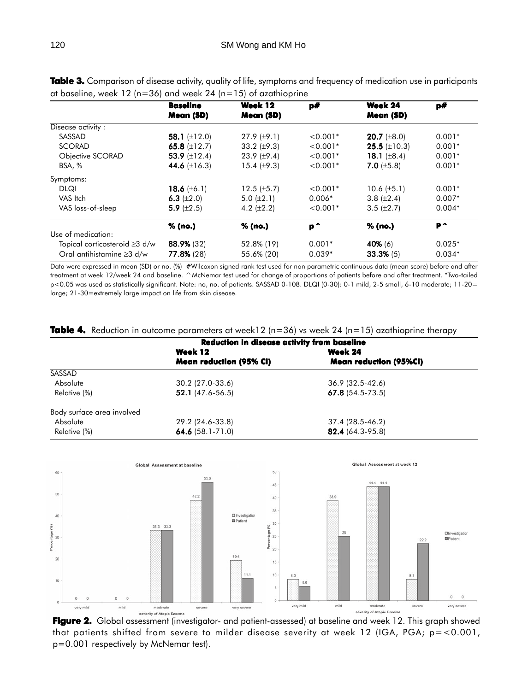|                                 | <b>Baseline</b>          | Week 12            | p#         | Week 24                   | p#       |
|---------------------------------|--------------------------|--------------------|------------|---------------------------|----------|
|                                 | Mean (SD)                | Mean (SD)          |            | Mean (SD)                 |          |
| Disease activity:               |                          |                    |            |                           |          |
| SASSAD                          | 58.1 $(\pm 12.0)$        | $27.9 \ (\pm 9.1)$ | $< 0.001*$ | <b>20.7</b> ( $\pm 8.0$ ) | $0.001*$ |
| <b>SCORAD</b>                   | 65.8 $(\pm 12.7)$        | 33.2 $(\pm 9.3)$   | $< 0.001*$ | 25.5 $(\pm 10.3)$         | $0.001*$ |
| Objective SCORAD                | 53.9 $(\pm 12.4)$        | 23.9 $(\pm 9.4)$   | $< 0.001*$ | 18.1 $(\pm 8.4)$          | $0.001*$ |
| BSA, %                          | 44.6 $(\pm 16.3)$        | 15.4 $(\pm 9.3)$   | $< 0.001*$ | 7.0 $(\pm 5.8)$           | $0.001*$ |
| Symptoms:                       |                          |                    |            |                           |          |
| <b>DLQI</b>                     | <b>18.6</b> ( $\pm$ 6.1) | $12.5 \ (\pm 5.7)$ | $< 0.001*$ | 10.6 $(\pm 5.1)$          | $0.001*$ |
| VAS Itch                        | 6.3 $(\pm 2.0)$          | 5.0 $(\pm 2.1)$    | $0.006*$   | 3.8 $(\pm 2.4)$           | $0.007*$ |
| VAS loss-of-sleep               | 5.9 $(\pm 2.5)$          | 4.2 $(\pm 2.2)$    | $< 0.001*$ | $3.5 \ (\pm 2.7)$         | $0.004*$ |
|                                 | % (no.)                  | % (no.)            | P^         | % (no.)                   | P^       |
| Use of medication:              |                          |                    |            |                           |          |
| Topical corticosteroid ≥3 d/w   | 88.9% (32)               | 52.8% (19)         | $0.001*$   | 40% (6)                   | $0.025*$ |
| Oral antihistamine $\geq 3$ d/w | 77.8% (28)               | 55.6% (20)         | $0.039*$   | 33.3% (5)                 | $0.034*$ |

Table 3. Comparison of disease activity, quality of life, symptoms and frequency of medication use in participants at baseline, week 12 ( $n=36$ ) and week 24 ( $n=15$ ) of azathioprine

Data were expressed in mean (SD) or no. (%) #Wilcoxon signed rank test used for non parametric continuous data (mean score) before and after treatment at week 12/week 24 and baseline. ^McNemar test used for change of proportions of patients before and after treatment. \*Two-tailed p<0.05 was used as statistically significant. Note: no, no. of patients. SASSAD 0-108. DLQI (0-30): 0-1 mild, 2-5 small, 6-10 moderate; 11-20= large; 21-30=extremely large impact on life from skin disease.

|  |  |  |  |  |  |  |  | <b>Table 4.</b> Reduction in outcome parameters at week12 (n=36) vs week 24 (n=15) azathioprine therapy |  |
|--|--|--|--|--|--|--|--|---------------------------------------------------------------------------------------------------------|--|
|--|--|--|--|--|--|--|--|---------------------------------------------------------------------------------------------------------|--|

|                            | Reduction in disease activity from baseline |                               |  |  |
|----------------------------|---------------------------------------------|-------------------------------|--|--|
|                            | Week 12                                     | Week 24                       |  |  |
|                            | <b>Mean reduction (95% CI)</b>              | <b>Mean reduction (95%CI)</b> |  |  |
| SASSAD                     |                                             |                               |  |  |
| Absolute                   | 30.2 (27.0-33.6)                            | $36.9(32.5-42.6)$             |  |  |
| Relative (%)               | $52.1(47.6-56.5)$                           | $67.8(54.5-73.5)$             |  |  |
| Body surface area involved |                                             |                               |  |  |
| Absolute                   | 29.2 (24.6-33.8)                            | 37.4 (28.5-46.2)              |  |  |
| Relative (%)               | 64.6 $(58.1 - 71.0)$                        | 82.4 (64.3-95.8)              |  |  |



**Figure 2.** Global assessment (investigator- and patient-assessed) at baseline and week 12. This graph showed that patients shifted from severe to milder disease severity at week 12 (IGA, PGA; p=<0.001, p=0.001 respectively by McNemar test).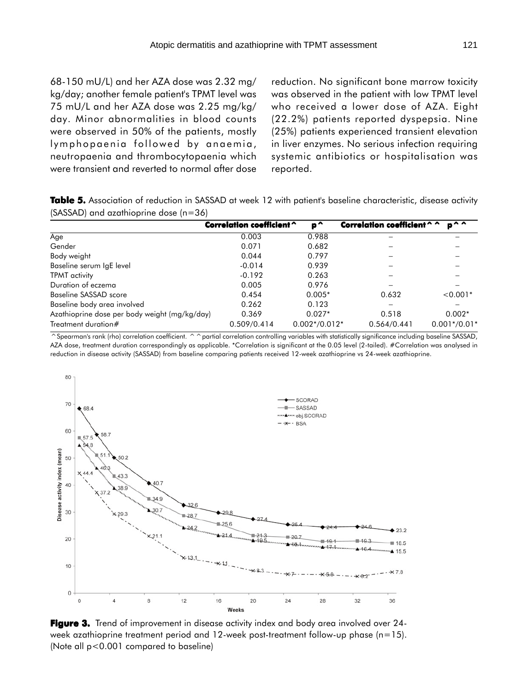68-150 mU/L) and her AZA dose was 2.32 mg/ kg/day; another female patient's TPMT level was 75 mU/L and her AZA dose was 2.25 mg/kg/ day. Minor abnormalities in blood counts were observed in 50% of the patients, mostly lymphopaenia followed by anaemia, neutropaenia and thrombocytopaenia which were transient and reverted to normal after dose reduction. No significant bone marrow toxicity was observed in the patient with low TPMT level who received a lower dose of AZA. Eight (22.2%) patients reported dyspepsia. Nine (25%) patients experienced transient elevation in liver enzymes. No serious infection requiring systemic antibiotics or hospitalisation was reported.

**Table 5.** Association of reduction in SASSAD at week 12 with patient's baseline characteristic, disease activity (SASSAD) and azathioprine dose (n=36)

|                                               | Correlation coefficient ^ | p^              | $n^{\wedge}$<br>Correlation coefficient ^ ^ |                |  |
|-----------------------------------------------|---------------------------|-----------------|---------------------------------------------|----------------|--|
| Age                                           | 0.003                     | 0.988           |                                             |                |  |
| Gender                                        | 0.071                     | 0.682           |                                             |                |  |
| Body weight                                   | 0.044                     | 0.797           |                                             |                |  |
| Baseline serum IgE level                      | $-0.014$                  | 0.939           |                                             |                |  |
| TPMT activity                                 | $-0.192$                  | 0.263           |                                             |                |  |
| Duration of eczema                            | 0.005                     | 0.976           |                                             |                |  |
| Baseline SASSAD score                         | 0.454                     | $0.005*$        | 0.632                                       | $< 0.001*$     |  |
| Baseline body area involved                   | 0.262                     | 0.123           |                                             |                |  |
| Azathioprine dose per body weight (mg/kg/day) | 0.369                     | $0.027*$        | 0.518                                       | $0.002*$       |  |
| Treatment duration#                           | 0.509/0.414               | $0.002*/0.012*$ | 0.564/0.441                                 | $0.001*/0.01*$ |  |

^Spearman's rank (rho) correlation coefficient. ^ ^ partial correlation controlling variables with statistically significance including baseline SASSAD, AZA dose, treatment duration correspondingly as applicable. \*Correlation is significant at the 0.05 level (2-tailed). #Correlation was analysed in reduction in disease activity (SASSAD) from baseline comparing patients received 12-week azathioprine vs 24-week azathioprine.



**Figure 3.** Trend of improvement in disease activity index and body area involved over 24week azathioprine treatment period and 12-week post-treatment follow-up phase (n=15). (Note all p<0.001 compared to baseline)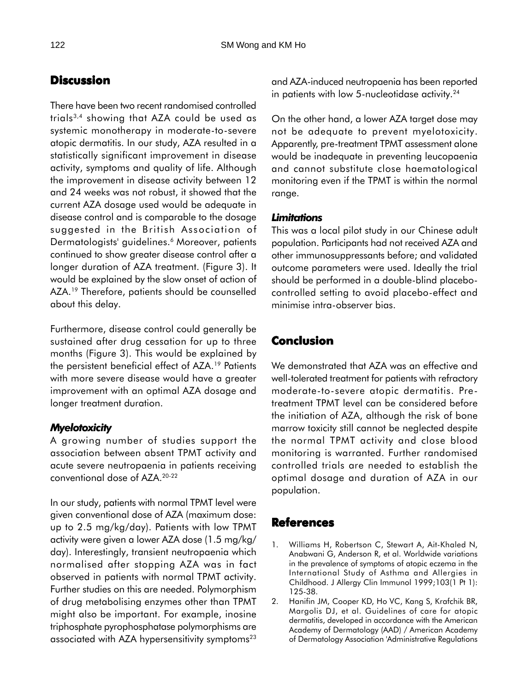# **Discussion**

There have been two recent randomised controlled trials3,4 showing that AZA could be used as systemic monotherapy in moderate-to-severe atopic dermatitis. In our study, AZA resulted in a statistically significant improvement in disease activity, symptoms and quality of life. Although the improvement in disease activity between 12 and 24 weeks was not robust, it showed that the current AZA dosage used would be adequate in disease control and is comparable to the dosage suggested in the British Association of Dermatologists' guidelines.<sup>6</sup> Moreover, patients continued to show greater disease control after a longer duration of AZA treatment. (Figure 3). It would be explained by the slow onset of action of AZA.<sup>19</sup> Therefore, patients should be counselled about this delay.

Furthermore, disease control could generally be sustained after drug cessation for up to three months (Figure 3). This would be explained by the persistent beneficial effect of AZA.<sup>19</sup> Patients with more severe disease would have a greater improvement with an optimal AZA dosage and longer treatment duration.

# *Myelotoxicity*

A growing number of studies support the association between absent TPMT activity and acute severe neutropaenia in patients receiving conventional dose of AZA.20-22

In our study, patients with normal TPMT level were given conventional dose of AZA (maximum dose: up to 2.5 mg/kg/day). Patients with low TPMT activity were given a lower AZA dose (1.5 mg/kg/ day). Interestingly, transient neutropaenia which normalised after stopping AZA was in fact observed in patients with normal TPMT activity. Further studies on this are needed. Polymorphism of drug metabolising enzymes other than TPMT might also be important. For example, inosine triphosphate pyrophosphatase polymorphisms are associated with AZA hypersensitivity symptoms<sup>23</sup>

and AZA-induced neutropaenia has been reported in patients with low 5-nucleotidase activity.<sup>24</sup>

On the other hand, a lower AZA target dose may not be adequate to prevent myelotoxicity. Apparently, pre-treatment TPMT assessment alone would be inadequate in preventing leucopaenia and cannot substitute close haematological monitoring even if the TPMT is within the normal range.

## *Limitations*

This was a local pilot study in our Chinese adult population. Participants had not received AZA and other immunosuppressants before; and validated outcome parameters were used. Ideally the trial should be performed in a double-blind placebocontrolled setting to avoid placebo-effect and minimise intra-observer bias.

# **Conclusion**

We demonstrated that AZA was an effective and well-tolerated treatment for patients with refractory moderate-to-severe atopic dermatitis. Pretreatment TPMT level can be considered before the initiation of AZA, although the risk of bone marrow toxicity still cannot be neglected despite the normal TPMT activity and close blood monitoring is warranted. Further randomised controlled trials are needed to establish the optimal dosage and duration of AZA in our population.

# **References**

- 1. Williams H, Robertson C, Stewart A, Ait-Khaled N, Anabwani G, Anderson R, et al. Worldwide variations in the prevalence of symptoms of atopic eczema in the International Study of Asthma and Allergies in Childhood. J Allergy Clin Immunol 1999;103(1 Pt 1): 125-38.
- 2. Hanifin JM, Cooper KD, Ho VC, Kang S, Krafchik BR, Margolis DJ, et al. Guidelines of care for atopic dermatitis, developed in accordance with the American Academy of Dermatology (AAD) / American Academy of Dermatology Association 'Administrative Regulations